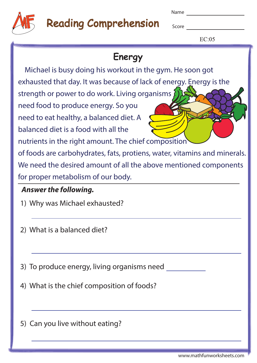| . .<br>× | w<br>v |
|----------|--------|
|----------|--------|



# Reading Comprehension

Score **Score Score** 

 $EC:05$ 

## **Energy**

 Michael is busy doing his workout in the gym. He soon got exhausted that day. It was because of lack of energy. Energy is the strength or power to do work. Living organisms  $\sum$ need food to produce energy. So you need to eat healthy, a balanced diet. A balanced diet is a food with all the nutrients in the right amount. The chief composition of foods are carbohydrates, fats, protiens, water, vitamins and minerals. We need the desired amount of all the above mentioned components for proper metabolism of our body.

#### **Answer the following.**

- 1) Why was Michael exhausted?
- 2) What is a balanced diet?
- 3) To produce energy, living organisms need
- 4) What is the chief composition of foods?
- 5) Can you live without eating?